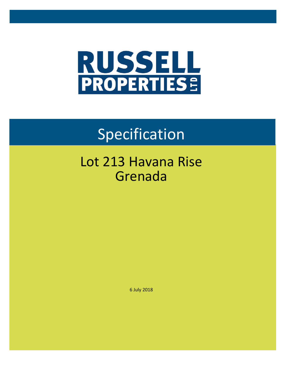

# Specification

## Lot 213 Havana Rise Grenada

6 July 2018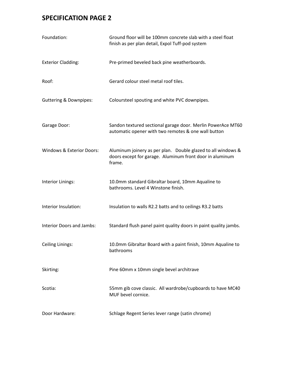| Foundation:                       | Ground floor will be 100mm concrete slab with a steel float<br>finish as per plan detail, Expol Tuff-pod system                    |  |  |
|-----------------------------------|------------------------------------------------------------------------------------------------------------------------------------|--|--|
| <b>Exterior Cladding:</b>         | Pre-primed beveled back pine weatherboards.                                                                                        |  |  |
| Roof:                             | Gerard colour steel metal roof tiles.                                                                                              |  |  |
| <b>Guttering &amp; Downpipes:</b> | Coloursteel spouting and white PVC downpipes.                                                                                      |  |  |
| Garage Door:                      | Sandon textured sectional garage door. Merlin PowerAce MT60<br>automatic opener with two remotes & one wall button                 |  |  |
| Windows & Exterior Doors:         | Aluminum joinery as per plan. Double glazed to all windows &<br>doors except for garage. Aluminum front door in aluminum<br>frame. |  |  |
| Interior Linings:                 | 10.0mm standard Gibraltar board, 10mm Aqualine to<br>bathrooms. Level 4 Winstone finish.                                           |  |  |
| Interior Insulation:              | Insulation to walls R2.2 batts and to ceilings R3.2 batts                                                                          |  |  |
| Interior Doors and Jambs:         | Standard flush panel paint quality doors in paint quality jambs.                                                                   |  |  |
| <b>Ceiling Linings:</b>           | 10.0mm Gibraltar Board with a paint finish, 10mm Aqualine to<br>bathrooms                                                          |  |  |
| Skirting:                         | Pine 60mm x 10mm single bevel architrave                                                                                           |  |  |
| Scotia:                           | 55mm gib cove classic. All wardrobe/cupboards to have MC40<br>MUF bevel cornice.                                                   |  |  |
| Door Hardware:                    | Schlage Regent Series lever range (satin chrome)                                                                                   |  |  |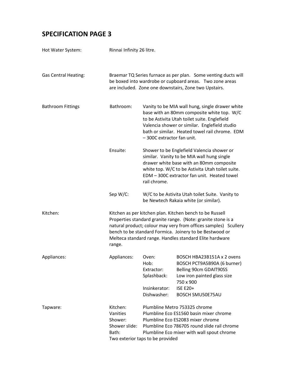| Hot Water System:           | Rinnai Infinity 26 litre.                                                                                                                                                           |                                                                                                                                                                                                                                                                                                                   |                                                                                                                                                                               |  |
|-----------------------------|-------------------------------------------------------------------------------------------------------------------------------------------------------------------------------------|-------------------------------------------------------------------------------------------------------------------------------------------------------------------------------------------------------------------------------------------------------------------------------------------------------------------|-------------------------------------------------------------------------------------------------------------------------------------------------------------------------------|--|
| <b>Gas Central Heating:</b> | Braemar TQ Series furnace as per plan. Some venting ducts will<br>be boxed into wardrobe or cupboard areas. Two zone areas<br>are included. Zone one downstairs, Zone two Upstairs. |                                                                                                                                                                                                                                                                                                                   |                                                                                                                                                                               |  |
| <b>Bathroom Fittings</b>    | Bathroom:                                                                                                                                                                           | Vanity to be MIA wall hung, single drawer white<br>base with an 80mm composite white top. W/C<br>to be Astivita Utah toilet suite. Englefield<br>Valencia shower or similar. Englefield studio<br>bath or similar. Heated towel rail chrome. EDM<br>-300C extractor fan unit.                                     |                                                                                                                                                                               |  |
|                             | Ensuite:                                                                                                                                                                            | Shower to be Englefield Valencia shower or<br>similar. Vanity to be MIA wall hung single<br>drawer white base with an 80mm composite<br>white top. W/C to be Astivita Utah toilet suite.<br>EDM - 300C extractor fan unit. Heated towel<br>rail chrome.                                                           |                                                                                                                                                                               |  |
|                             | Sep W/C:                                                                                                                                                                            | W/C to be Astivita Utah toilet Suite. Vanity to<br>be Newtech Rakaia white (or similar).                                                                                                                                                                                                                          |                                                                                                                                                                               |  |
| Kitchen:                    | range.                                                                                                                                                                              | Kitchen as per kitchen plan. Kitchen bench to be Russell<br>Properties standard granite range. (Note: granite stone is a<br>natural product; colour may very from offices samples) Scullery<br>bench to be standard Formica. Joinery to be Bestwood or<br>Melteca standard range. Handles standard Elite hardware |                                                                                                                                                                               |  |
| Appliances:                 | Appliances:                                                                                                                                                                         | Oven:<br>Hob:<br>Extractor:<br>Splashback:<br>Insinkerator:<br>Dishwasher:                                                                                                                                                                                                                                        | BOSCH HBA23B151A x 2 ovens<br>BOSCH PCT9A5B90A (6 burner)<br><b>Belling 90cm GDAIT90SS</b><br>Low iron painted glass size<br>750 x 900<br><b>ISE E20+</b><br>BOSCH SMU50E75AU |  |
| Tapware:                    | Kitchen:<br>Vanities<br>Shower:<br>Shower slide:<br>Bath:                                                                                                                           | Plumbline Metro 753325 chrome<br>Plumbline Eco ES1560 basin mixer chrome<br>Plumbline Eco ES2083 mixer chrome<br>Plumbline Eco 786705 round slide rail chrome<br>Plumbline Eco mixer with wall spout chrome<br>Two exterior taps to be provided                                                                   |                                                                                                                                                                               |  |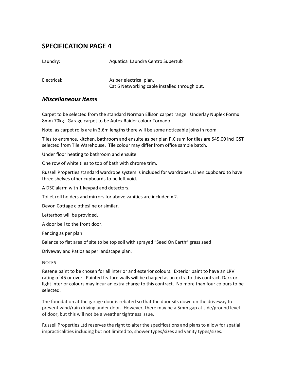Laundry: The Company of Aquatica Laundra Centro Supertub

Electrical: As per electrical plan. Cat 6 Networking cable installed through out.

#### *Miscellaneous Items*

Carpet to be selected from the standard Norman Ellison carpet range. Underlay Nuplex Formx 8mm 70kg. Garage carpet to be Autex Raider colour Tornado.

Note, as carpet rolls are in 3.6m lengths there will be some noticeable joins in room

Tiles to entrance, kitchen, bathroom and ensuite as per plan P.C sum for tiles are \$45.00 incl GST selected from Tile Warehouse. Tile colour may differ from office sample batch.

Under floor heating to bathroom and ensuite

One row of white tiles to top of bath with chrome trim.

Russell Properties standard wardrobe system is included for wardrobes. Linen cupboard to have three shelves other cupboards to be left void.

A DSC alarm with 1 keypad and detectors.

Toilet roll holders and mirrors for above vanities are included x 2.

Devon Cottage clothesline or similar.

Letterbox will be provided.

A door bell to the front door.

Fencing as per plan

Balance to flat area of site to be top soil with sprayed "Seed On Earth" grass seed

Driveway and Patios as per landscape plan.

#### NOTES

Resene paint to be chosen for all interior and exterior colours. Exterior paint to have an LRV rating of 45 or over. Painted feature walls will be charged as an extra to this contract. Dark or light interior colours may incur an extra charge to this contract. No more than four colours to be selected.

The foundation at the garage door is rebated so that the door sits down on the driveway to prevent wind/rain driving under door. However, there may be a 5mm gap at side/ground level of door, but this will not be a weather tightness issue.

Russell Properties Ltd reserves the right to alter the specifications and plans to allow for spatial impracticalities including but not limited to, shower types/sizes and vanity types/sizes.